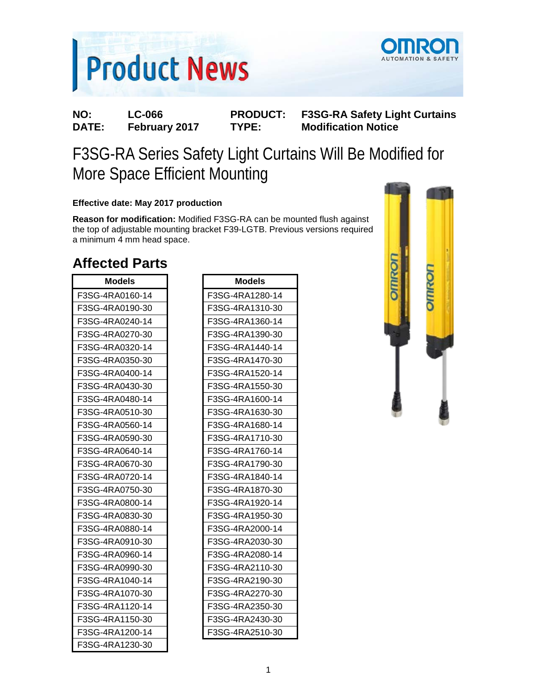



**NO: LC-066 PRODUCT: F3SG-RA Safety Light Curtains Modification Notice** 

# F3SG-RA Series Safety Light Curtains Will Be Modified for More Space Efficient Mounting

#### **Effective date: May 2017 production**

**Reason for modification:** Modified F3SG-RA can be mounted flush against the top of adjustable mounting bracket F39-LGTB. Previous versions required a minimum 4 mm head space.

### **Affected Parts**

| <b>Models</b>   | <b>Models</b>   |
|-----------------|-----------------|
| F3SG-4RA0160-14 | F3SG-4RA1280-14 |
| F3SG-4RA0190-30 | F3SG-4RA1310-30 |
| F3SG-4RA0240-14 | F3SG-4RA1360-14 |
| F3SG-4RA0270-30 | F3SG-4RA1390-30 |
| F3SG-4RA0320-14 | F3SG-4RA1440-14 |
| F3SG-4RA0350-30 | F3SG-4RA1470-30 |
| F3SG-4RA0400-14 | F3SG-4RA1520-14 |
| F3SG-4RA0430-30 | F3SG-4RA1550-30 |
| F3SG-4RA0480-14 | F3SG-4RA1600-14 |
| F3SG-4RA0510-30 | F3SG-4RA1630-30 |
| F3SG-4RA0560-14 | F3SG-4RA1680-14 |
| F3SG-4RA0590-30 | F3SG-4RA1710-30 |
| F3SG-4RA0640-14 | F3SG-4RA1760-14 |
| F3SG-4RA0670-30 | F3SG-4RA1790-30 |
| F3SG-4RA0720-14 | F3SG-4RA1840-14 |
| F3SG-4RA0750-30 | F3SG-4RA1870-30 |
| F3SG-4RA0800-14 | F3SG-4RA1920-14 |
| F3SG-4RA0830-30 | F3SG-4RA1950-30 |
| F3SG-4RA0880-14 | F3SG-4RA2000-14 |
| F3SG-4RA0910-30 | F3SG-4RA2030-30 |
| F3SG-4RA0960-14 | F3SG-4RA2080-14 |
| F3SG-4RA0990-30 | F3SG-4RA2110-30 |
| F3SG-4RA1040-14 | F3SG-4RA2190-30 |
| F3SG-4RA1070-30 | F3SG-4RA2270-30 |
| F3SG-4RA1120-14 | F3SG-4RA2350-30 |
| F3SG-4RA1150-30 | F3SG-4RA2430-30 |
| F3SG-4RA1200-14 | F3SG-4RA2510-30 |
| F3SG-4RA1230-30 |                 |

| Models          |
|-----------------|
| F3SG-4RA1280-14 |
| F3SG-4RA1310-30 |
| F3SG-4RA1360-14 |
| F3SG-4RA1390-30 |
| F3SG-4RA1440-14 |
| F3SG-4RA1470-30 |
| F3SG-4RA1520-14 |
| F3SG-4RA1550-30 |
| F3SG-4RA1600-14 |
| F3SG-4RA1630-30 |
| F3SG-4RA1680-14 |
| F3SG-4RA1710-30 |
| F3SG-4RA1760-14 |
| F3SG-4RA1790-30 |
| F3SG-4RA1840-14 |
| F3SG-4RA1870-30 |
| F3SG-4RA1920-14 |
| F3SG-4RA1950-30 |
| F3SG-4RA2000-14 |
| F3SG-4RA2030-30 |
| F3SG-4RA2080-14 |
| F3SG-4RA2110-30 |
| F3SG-4RA2190-30 |
| F3SG-4RA2270-30 |
| F3SG-4RA2350-30 |
| F3SG-4RA2430-30 |
| F3SG-4RA2510-30 |

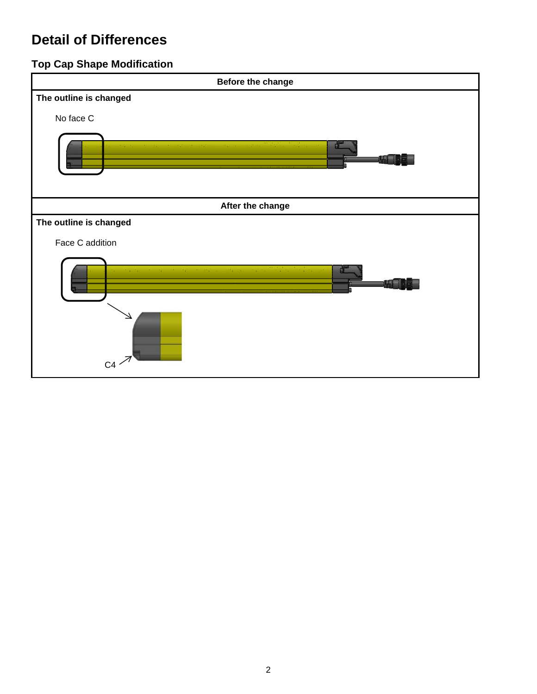## **Detail of Differences**

### **Top Cap Shape Modification**